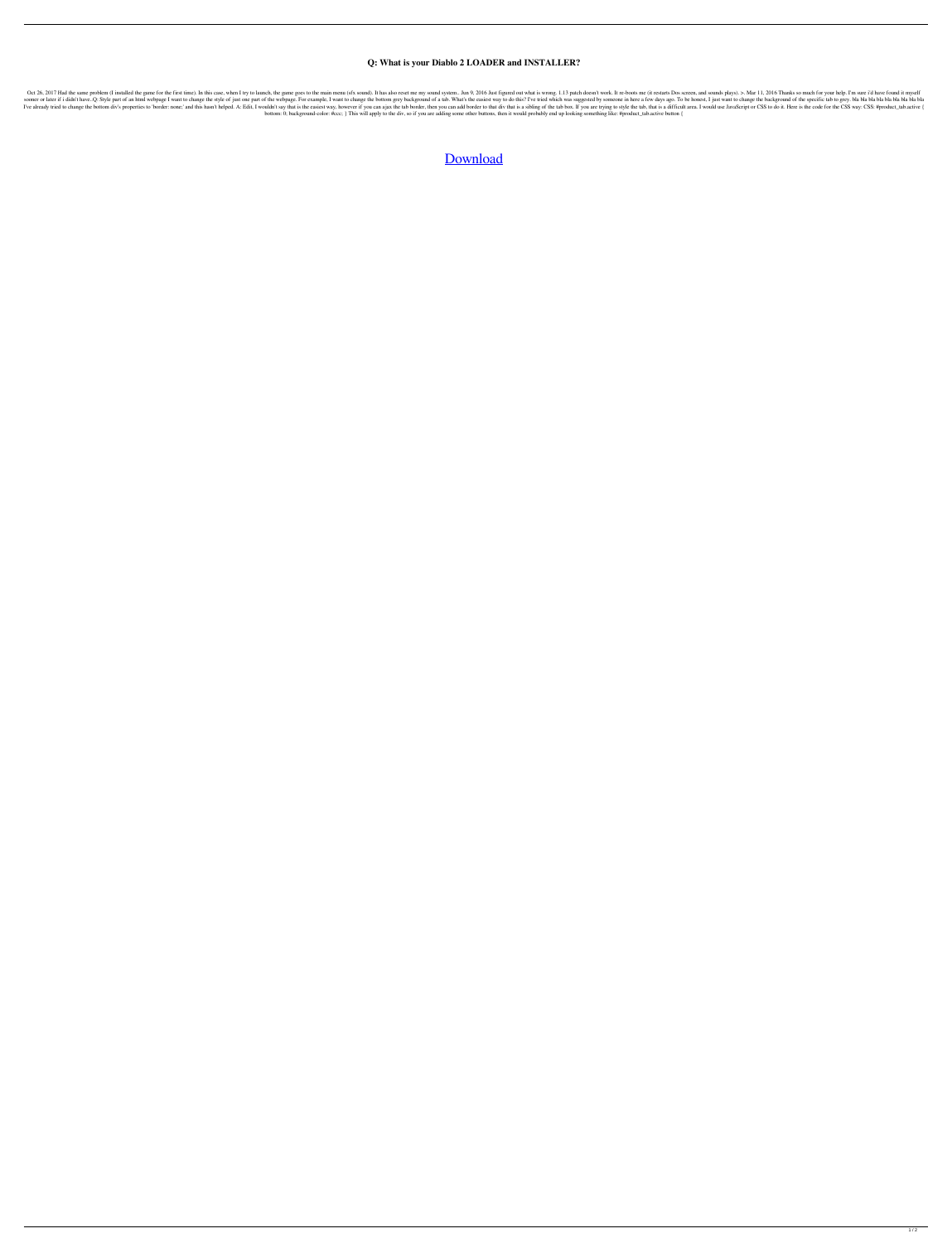## **Q: What is your Diablo 2 LOADER and INSTALLER?**

Oct 26, 2017 Had the same problem (I installed the game for the first time). In this case, when I try to launch, the game goes to the main menu (sfx sound). It has also reset me my sound system.. Jun 9, 2016 Just figured o sooner or later if i didn't have..Q: Style part of an html webpage I want to change the style of just one part of the webpage. For example, I want to change the bottom grey background of a tab. What's the easiest way to do I've already tried to change the bottom div's properties to 'border: none;' and this hasn't helped. A: Edit, I wouldn't say that is the easiest way, however if you can ajax the tab border, then you can add border to that d bottom: 0; background-color: #ccc; } This will apply to the div, so if you are adding some other buttons, then it would probably end up looking something like: #product\_tab.active button {

[Download](http://evacdir.com/bath/cinvestav.RGlhYmxvIDIgRDJMb2FkZXIgZm9yIDEuMTMgQmF0dGxlLm5ldARGl/?limeback=ZG93bmxvYWR8UzVzYURrMVkzeDhNVFkxTlRnME1qazRNWHg4TWpVNU1IeDhLRTBwSUZkdmNtUndjbVZ6Y3lCYldFMU1VbEJESUZZeUlGQkVSbDA/pessimist)